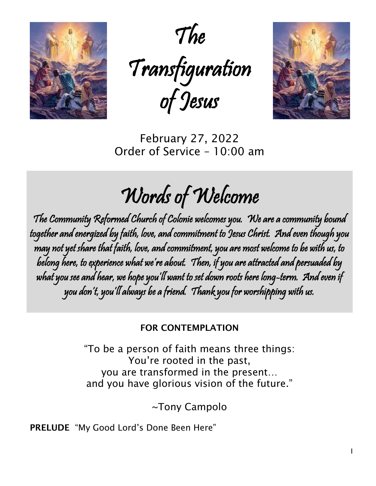

The Transfiguration of Jesus



February 27, 2022 Order of Service – 10:00 am

# Words of Welcome

The Community Reformed Church of Colonie welcomes you. We are a community bound together and energized by faith, love, and commitment to Jesus Christ. And even though you may not yet share that faith, love, and commitment, you are most welcome to be with us, to belong here, to experience what we're about. Then, if you are attracted and persuaded by what you see and hear, we hope you'll want to set down roots here long-term. And even if you don't, you'll always be a friend. Thank you for worshipping with us.

## FOR CONTEMPLATION

"To be a person of faith means three things: You're rooted in the past, you are transformed in the present… and you have glorious vision of the future."

~Tony Campolo

PRELUDE "My Good Lord's Done Been Here"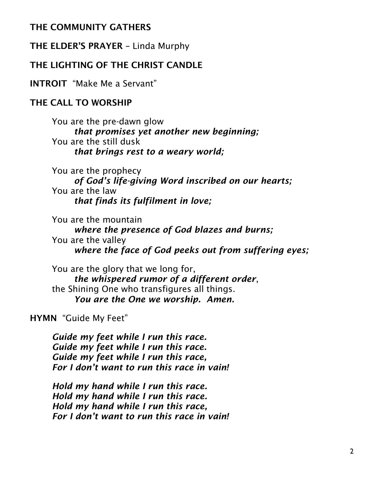## THE COMMUNITY GATHERS

THE ELDER'S PRAYER – Linda Murphy

## THE LIGHTING OF THE CHRIST CANDLE

INTROIT "Make Me a Servant"

## THE CALL TO WORSHIP

You are the pre-dawn glow *that promises yet another new beginning;* You are the still dusk *that brings rest to a weary world;*

You are the prophecy *of God's life-giving Word inscribed on our hearts;* You are the law *that finds its fulfilment in love;*

You are the mountain *where the presence of God blazes and burns;* You are the valley *where the face of God peeks out from suffering eyes;*

You are the glory that we long for, *the whispered rumor of a different order*, the Shining One who transfigures all things. *You are the One we worship. Amen.*

HYMN "Guide My Feet"

*Guide my feet while I run this race. Guide my feet while I run this race. Guide my feet while I run this race, For I don't want to run this race in vain!*

*Hold my hand while I run this race. Hold my hand while I run this race. Hold my hand while I run this race, For I don't want to run this race in vain!*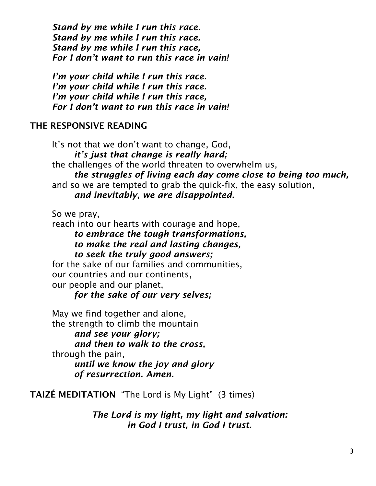*Stand by me while I run this race. Stand by me while I run this race. Stand by me while I run this race, For I don't want to run this race in vain!*

*I'm your child while I run this race. I'm your child while I run this race. I'm your child while I run this race, For I don't want to run this race in vain!*

## THE RESPONSIVE READING

It's not that we don't want to change, God, *it's just that change is really hard;* the challenges of the world threaten to overwhelm us, *the struggles of living each day come close to being too much,* and so we are tempted to grab the quick-fix, the easy solution, *and inevitably, we are disappointed.*

So we pray,

reach into our hearts with courage and hope,

*to embrace the tough transformations, to make the real and lasting changes, to seek the truly good answers;*

for the sake of our families and communities, our countries and our continents, our people and our planet,

*for the sake of our very selves;*

May we find together and alone, the strength to climb the mountain

*and see your glory; and then to walk to the cross,* through the pain, *until we know the joy and glory*

*of resurrection. Amen.*

TAIZÉ MEDITATION "The Lord is My Light" (3 times)

*The Lord is my light, my light and salvation: in God I trust, in God I trust.*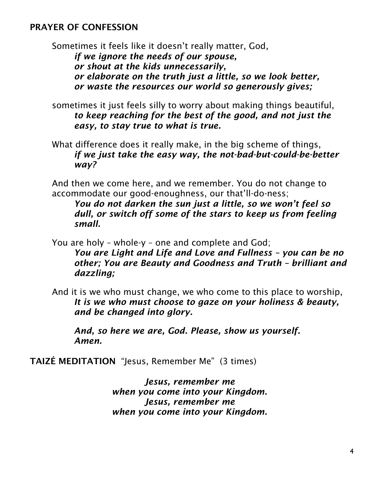## PRAYER OF CONFESSION

Sometimes it feels like it doesn't really matter, God, *if we ignore the needs of our spouse, or shout at the kids unnecessarily, or elaborate on the truth just a little, so we look better, or waste the resources our world so generously gives;*

- sometimes it just feels silly to worry about making things beautiful, *to keep reaching for the best of the good, and not just the easy, to stay true to what is true.*
- What difference does it really make, in the big scheme of things, *if we just take the easy way, the not-bad-but-could-be-better way?*

And then we come here, and we remember. You do not change to accommodate our good-enoughness, our that'll-do-ness;

*You do not darken the sun just a little, so we won't feel so dull, or switch off some of the stars to keep us from feeling small.*

You are holy – whole-y – one and complete and God; *You are Light and Life and Love and Fullness – you can be no other; You are Beauty and Goodness and Truth – brilliant and dazzling;*

And it is we who must change, we who come to this place to worship, *It is we who must choose to gaze on your holiness & beauty, and be changed into glory.*

*And, so here we are, God. Please, show us yourself. Amen.*

TAIZÉ MEDITATION "Jesus, Remember Me" (3 times)

*Jesus, remember me when you come into your Kingdom. Jesus, remember me when you come into your Kingdom.*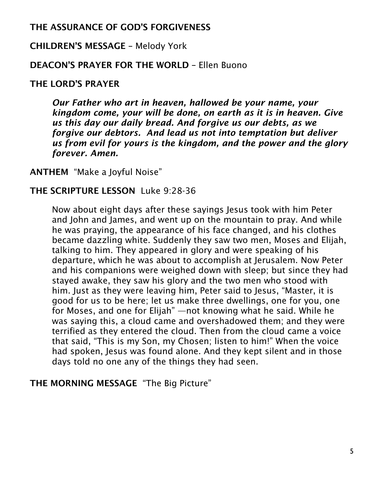## THE ASSURANCE OF GOD'S FORGIVENESS

## CHILDREN'S MESSAGE – Melody York

## DEACON'S PRAYER FOR THE WORLD – Ellen Buono

## THE LORD'S PRAYER

*Our Father who art in heaven, hallowed be your name, your kingdom come, your will be done, on earth as it is in heaven. Give us this day our daily bread. And forgive us our debts, as we forgive our debtors. And lead us not into temptation but deliver us from evil for yours is the kingdom, and the power and the glory forever. Amen.*

ANTHEM "Make a Joyful Noise"

## THE SCRIPTURE LESSON Luke 9:28-36

Now about eight days after these sayings Jesus took with him Peter and John and James, and went up on the mountain to pray. And while he was praying, the appearance of his face changed, and his clothes became dazzling white. Suddenly they saw two men, Moses and Elijah, talking to him. They appeared in glory and were speaking of his departure, which he was about to accomplish at Jerusalem. Now Peter and his companions were weighed down with sleep; but since they had stayed awake, they saw his glory and the two men who stood with him. Just as they were leaving him, Peter said to Jesus, "Master, it is good for us to be here; let us make three dwellings, one for you, one for Moses, and one for Elijah" —not knowing what he said. While he was saying this, a cloud came and overshadowed them; and they were terrified as they entered the cloud. Then from the cloud came a voice that said, "This is my Son, my Chosen; listen to him!" When the voice had spoken, Jesus was found alone. And they kept silent and in those days told no one any of the things they had seen.

## THE MORNING MESSAGE "The Big Picture"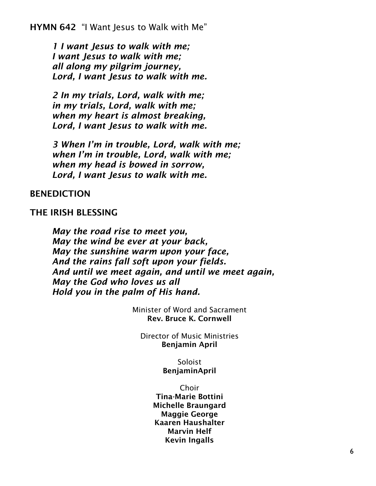HYMN 642 "I Want Jesus to Walk with Me"

*1 I want Jesus to walk with me; I want Jesus to walk with me; all along my pilgrim journey, Lord, I want Jesus to walk with me.*

*2 In my trials, Lord, walk with me; in my trials, Lord, walk with me; when my heart is almost breaking, Lord, I want Jesus to walk with me.*

*3 When I'm in trouble, Lord, walk with me; when I'm in trouble, Lord, walk with me; when my head is bowed in sorrow, Lord, I want Jesus to walk with me.*

#### BENEDICTION

#### THE IRISH BLESSING

*May the road rise to meet you, May the wind be ever at your back, May the sunshine warm upon your face, And the rains fall soft upon your fields. And until we meet again, and until we meet again, May the God who loves us all Hold you in the palm of His hand.*

> Minister of Word and Sacrament Rev. Bruce K. Cornwell

Director of Music Ministries Benjamin April

> Soloist BenjaminApril

Choir Tina-Marie Bottini Michelle Braungard Maggie George Kaaren Haushalter Marvin Helf Kevin Ingalls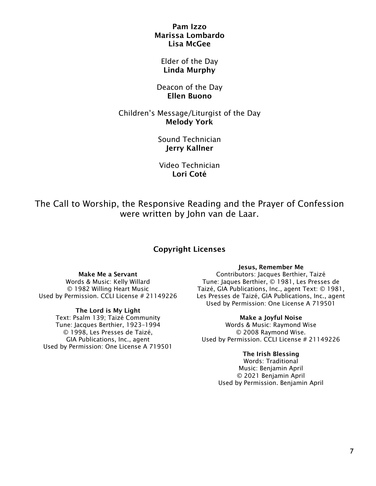#### Pam Izzo Marissa Lombardo Lisa McGee

#### Elder of the Day Linda Murphy

#### Deacon of the Day Ellen Buono

#### Children's Message/Liturgist of the Day Melody York

Sound Technician Jerry Kallner

Video Technician Lori Coté

The Call to Worship, the Responsive Reading and the Prayer of Confession were written by John van de Laar.

### Copyright Licenses

#### Make Me a Servant

Words & Music: Kelly Willard © 1982 Willing Heart Music Used by Permission. CCLI License # 21149226

#### The Lord is My Light

Text: Psalm 139; Taizé Community Tune: Jacques Berthier, 1923–1994 © 1998, Les Presses de Taizé, GIA Publications, Inc., agent Used by Permission: One License A 719501

#### Jesus, Remember Me

Contributors: Jacques Berthier, Taizé Tune: Jaques Berthier, © 1981, Les Presses de Taizé, GIA Publications, Inc., agent Text: © 1981, Les Presses de Taizé, GIA Publications, Inc., agent Used by Permission: One License A 719501

#### Make a Joyful Noise

Words & Music: Raymond Wise © 2008 Raymond Wise. Used by Permission. CCLI License # 21149226

#### The Irish Blessing

Words: Traditional Music: Benjamin April © 2021 Benjamin April Used by Permission. Benjamin April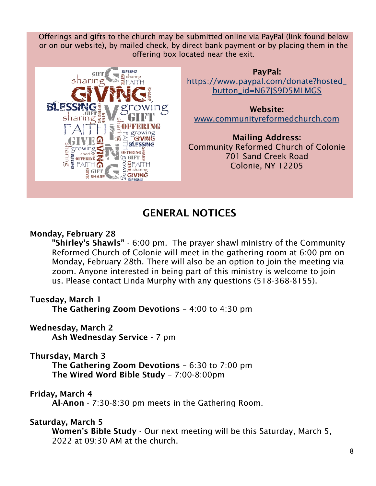Offerings and gifts to the church may be submitted online via PayPal (link found below or on our website), by mailed check, by direct bank payment or by placing them in the offering box located near the exit.



PayPal: [https://www.paypal.com/donate?hosted\\_](https://www.paypal.com/donate?hosted_button_id=N67JS9D5MLMGS) [button\\_id=N67JS9D5MLMGS](https://www.paypal.com/donate?hosted_button_id=N67JS9D5MLMGS)

Website: [www.communityreformedchurch.com](http://www.communityreformedchurch.com/)

Mailing Address: Community Reformed Church of Colonie 701 Sand Creek Road Colonie, NY 12205

## GENERAL NOTICES

## Monday, February 28

"Shirley's Shawls" - 6:00 pm. The prayer shawl ministry of the Community Reformed Church of Colonie will meet in the gathering room at 6:00 pm on Monday, February 28th. There will also be an option to join the meeting via zoom. Anyone interested in being part of this ministry is welcome to join us. Please contact Linda Murphy with any questions (518-368-8155).

## Tuesday, March 1

The Gathering Zoom Devotions – 4:00 to 4:30 pm

## Wednesday, March 2

Ash Wednesday Service - 7 pm

## Thursday, March 3

The Gathering Zoom Devotions – 6:30 to 7:00 pm The Wired Word Bible Study – 7:00-8:00pm

## Friday, March 4

Al-Anon - 7:30-8:30 pm meets in the Gathering Room.

## Saturday, March 5

Women's Bible Study - Our next meeting will be this Saturday, March 5, 2022 at 09:30 AM at the church.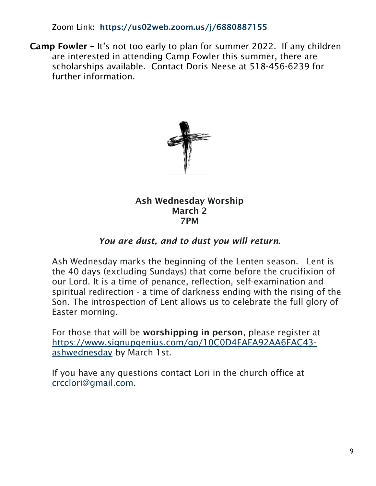Zoom Link: <https://us02web.zoom.us/j/6880887155>

Camp Fowler – It's not too early to plan for summer 2022. If any children are interested in attending Camp Fowler this summer, there are scholarships available. Contact Doris Neese at 518-456-6239 for further information.



Ash Wednesday Worship March 2 7PM

## *You are dust, and to dust you will return*.

Ash Wednesday marks the beginning of the Lenten season. Lent is the 40 days (excluding Sundays) that come before the crucifixion of our Lord. It is a time of penance, reflection, self-examination and spiritual redirection - a time of darkness ending with the rising of the Son. The introspection of Lent allows us to celebrate the full glory of Easter morning.

For those that will be worshipping in person, please register at [https://www.signupgenius.com/go/10C0D4EAEA92AA6FAC43](https://www.signupgenius.com/go/10C0D4EAEA92AA6FAC43-ashwednesday) [ashwednesday](https://www.signupgenius.com/go/10C0D4EAEA92AA6FAC43-ashwednesday) by March 1st.

If you have any questions contact Lori in the church office at [crcclori@gmail.com.](mailto:crcclori@gmail.com)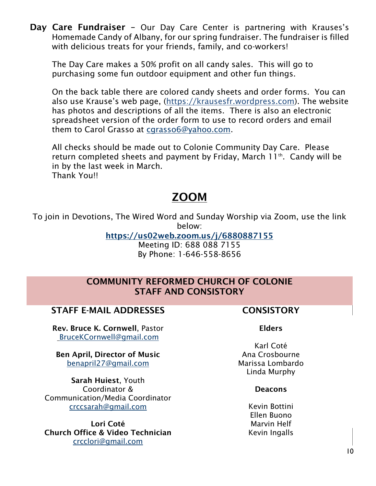Day Care Fundraiser - Our Day Care Center is partnering with Krauses's Homemade Candy of Albany, for our spring fundraiser. The fundraiser is filled with delicious treats for your friends, family, and co-workers!

The Day Care makes a 50% profit on all candy sales. This will go to purchasing some fun outdoor equipment and other fun things.

On the back table there are colored candy sheets and order forms. You can also use Krause's web page, ([https://krausesfr.wordpress.com\)](https://krausesfr.wordpress.com/). The website has photos and descriptions of all the items. There is also an electronic spreadsheet version of the order form to use to record orders and email them to Carol Grasso at [cgrasso6@yahoo.com.](mailto:cgrasso6@yahoo.com)

All checks should be made out to Colonie Community Day Care. Please return completed sheets and payment by Friday, March 11<sup>th</sup>. Candy will be in by the last week in March. Thank You!!

## ZOOM

To join in Devotions, The Wired Word and Sunday Worship via Zoom, use the link below:

<https://us02web.zoom.us/j/6880887155>

Meeting ID: 688 088 7155 By Phone: 1-646-558-8656

## COMMUNITY REFORMED CHURCH OF COLONIE STAFF AND CONSISTORY

## STAFF E-MAIL ADDRESSES FOR THE CONSISTORY

Rev. Bruce K. Cornwell, Pastor [BruceKCornwell@gmail.com](mailto:BruceKCornwell@gmail.com)

Ben April, Director of Music benapril27@gmail.com

Sarah Huiest, Youth Coordinator & Communication/Media Coordinator [crccsarah@gmail.com](mailto:crccsarah@gmail.com)

Lori Coté Church Office & Video Technician [crcclori@gmail.com](mailto:crcclori@gmail.com)

#### Elders

Karl Coté Ana Crosbourne Marissa Lombardo Linda Murphy

#### **Deacons**

Kevin Bottini Ellen Buono Marvin Helf Kevin Ingalls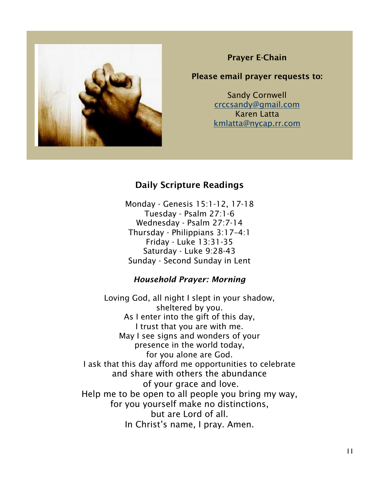

### Prayer E-Chain

#### Please email prayer requests to:

Sandy Cornwell [crccsandy@gmail.com](mailto:crccsandy@gmail.com) Karen Latta [kmlatta@nycap.rr.com](mailto:kmlatta@nycap.rr.com)

## Daily Scripture Readings

Monday - Genesis 15:1-12, 17-18 Tuesday - Psalm 27:1-6 Wednesday - Psalm 27:7-14 Thursday - Philippians 3:17–4:1 Friday - Luke 13:31-35 Saturday - Luke 9:28-43 Sunday - Second Sunday in Lent

### *Household Prayer: Morning*

Loving God, all night I slept in your shadow, sheltered by you. As I enter into the gift of this day, I trust that you are with me. May I see signs and wonders of your presence in the world today, for you alone are God. I ask that this day afford me opportunities to celebrate and share with others the abundance of your grace and love. Help me to be open to all people you bring my way, for you yourself make no distinctions, but are Lord of all. In Christ's name, I pray. Amen.